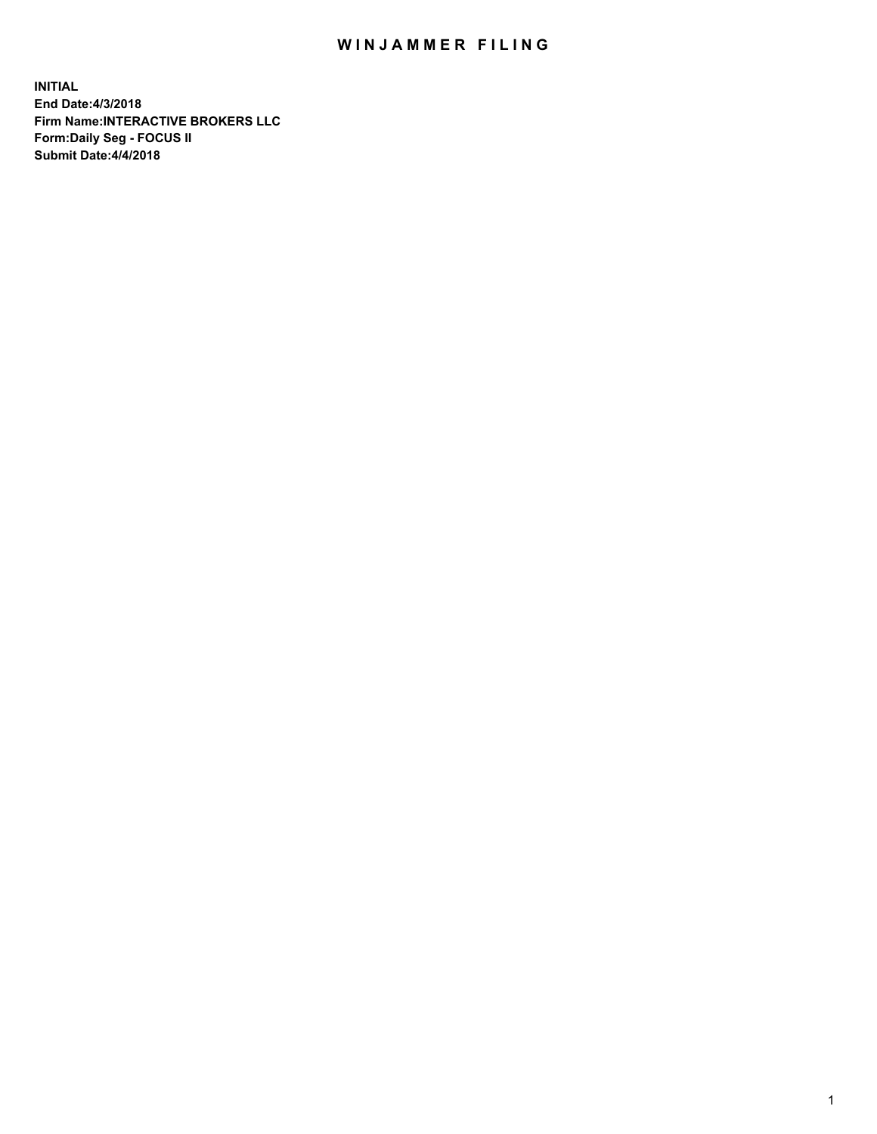## WIN JAMMER FILING

**INITIAL End Date:4/3/2018 Firm Name:INTERACTIVE BROKERS LLC Form:Daily Seg - FOCUS II Submit Date:4/4/2018**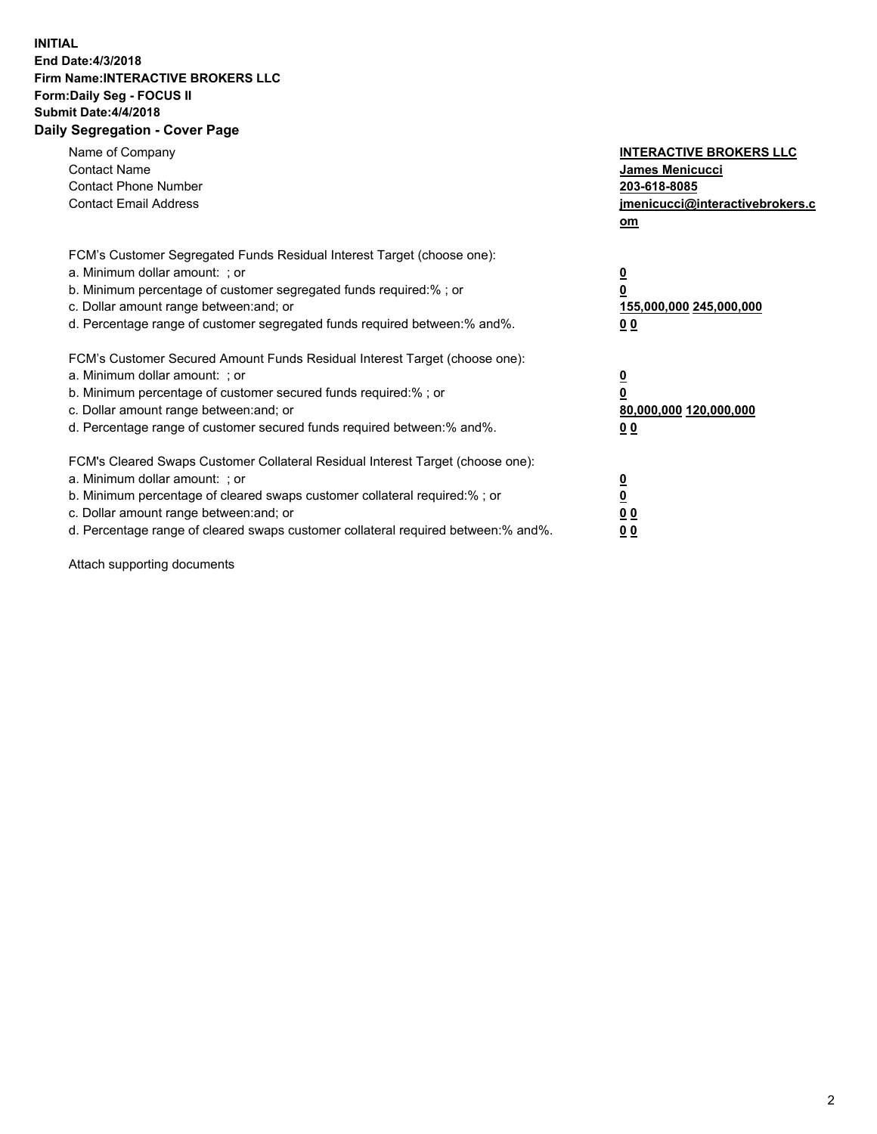## **INITIAL End Date:4/3/2018 Firm Name:INTERACTIVE BROKERS LLC Form:Daily Seg - FOCUS II Submit Date:4/4/2018 Daily Segregation - Cover Page**

| Name of Company<br><b>Contact Name</b><br><b>Contact Phone Number</b><br><b>Contact Email Address</b>                                                                                                                                                                                                                          | <b>INTERACTIVE BROKERS LLC</b><br>James Menicucci<br>203-618-8085<br>jmenicucci@interactivebrokers.c<br>om |
|--------------------------------------------------------------------------------------------------------------------------------------------------------------------------------------------------------------------------------------------------------------------------------------------------------------------------------|------------------------------------------------------------------------------------------------------------|
| FCM's Customer Segregated Funds Residual Interest Target (choose one):<br>a. Minimum dollar amount: ; or<br>b. Minimum percentage of customer segregated funds required:% ; or<br>c. Dollar amount range between: and; or<br>d. Percentage range of customer segregated funds required between:% and%.                         | $\overline{\mathbf{0}}$<br>0<br>155,000,000 245,000,000<br>0 <sub>0</sub>                                  |
| FCM's Customer Secured Amount Funds Residual Interest Target (choose one):<br>a. Minimum dollar amount: ; or<br>b. Minimum percentage of customer secured funds required:%; or<br>c. Dollar amount range between: and; or<br>d. Percentage range of customer secured funds required between: % and %.                          | $\overline{\mathbf{0}}$<br>0<br>80,000,000 120,000,000<br>0 <sub>0</sub>                                   |
| FCM's Cleared Swaps Customer Collateral Residual Interest Target (choose one):<br>a. Minimum dollar amount: ; or<br>b. Minimum percentage of cleared swaps customer collateral required:% ; or<br>c. Dollar amount range between: and; or<br>d. Percentage range of cleared swaps customer collateral required between:% and%. | $\overline{\mathbf{0}}$<br>$\overline{\mathbf{0}}$<br>0 <sub>0</sub><br>0 <sub>0</sub>                     |

Attach supporting documents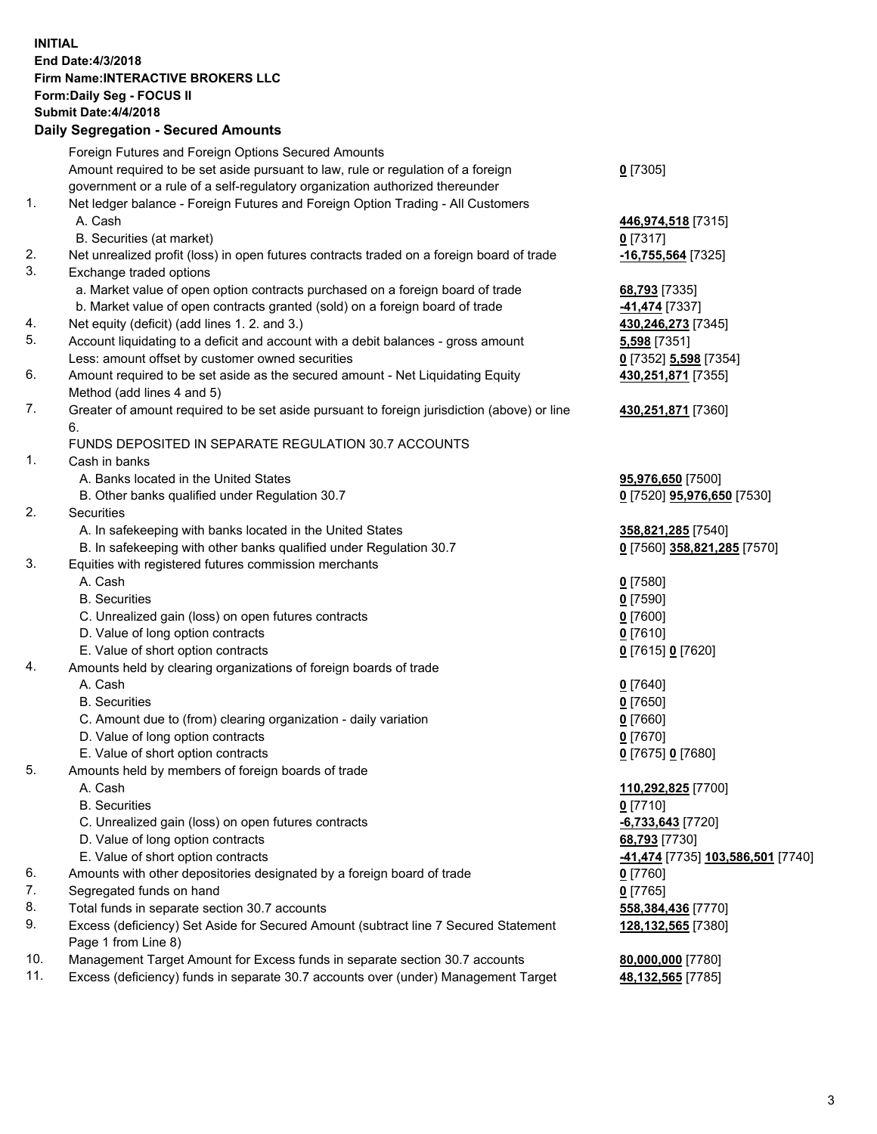## **INITIAL End Date:4/3/2018 Firm Name:INTERACTIVE BROKERS LLC Form:Daily Seg - FOCUS II Submit Date:4/4/2018 Daily Segregation - Secured Amounts**

|                | Daily Ocglegation - Occuled Amounts                                                                        |                                          |
|----------------|------------------------------------------------------------------------------------------------------------|------------------------------------------|
|                | Foreign Futures and Foreign Options Secured Amounts                                                        |                                          |
|                | Amount required to be set aside pursuant to law, rule or regulation of a foreign                           | $0$ [7305]                               |
|                | government or a rule of a self-regulatory organization authorized thereunder                               |                                          |
| 1.             | Net ledger balance - Foreign Futures and Foreign Option Trading - All Customers                            |                                          |
|                | A. Cash                                                                                                    | 446,974,518 [7315]                       |
|                | B. Securities (at market)                                                                                  | $0$ [7317]                               |
| 2.             | Net unrealized profit (loss) in open futures contracts traded on a foreign board of trade                  | $-16,755,564$ [7325]                     |
| 3.             | Exchange traded options                                                                                    |                                          |
|                | a. Market value of open option contracts purchased on a foreign board of trade                             | 68,793 [7335]                            |
|                | b. Market value of open contracts granted (sold) on a foreign board of trade                               | 41,474 [7337]                            |
| 4.             | Net equity (deficit) (add lines 1.2. and 3.)                                                               | 430,246,273 [7345]                       |
| 5.             | Account liquidating to a deficit and account with a debit balances - gross amount                          | 5,598 [7351]                             |
|                | Less: amount offset by customer owned securities                                                           | 0 [7352] 5,598 [7354]                    |
| 6.             | Amount required to be set aside as the secured amount - Net Liquidating Equity                             | 430,251,871 [7355]                       |
|                | Method (add lines 4 and 5)                                                                                 |                                          |
| 7.             | Greater of amount required to be set aside pursuant to foreign jurisdiction (above) or line                | 430,251,871 [7360]                       |
|                | 6.                                                                                                         |                                          |
|                | FUNDS DEPOSITED IN SEPARATE REGULATION 30.7 ACCOUNTS                                                       |                                          |
| $\mathbf{1}$ . | Cash in banks                                                                                              |                                          |
|                | A. Banks located in the United States                                                                      | 95,976,650 [7500]                        |
|                | B. Other banks qualified under Regulation 30.7                                                             | 0 [7520] 95,976,650 [7530]               |
| 2.             | Securities                                                                                                 |                                          |
|                | A. In safekeeping with banks located in the United States                                                  | 358,821,285 [7540]                       |
|                | B. In safekeeping with other banks qualified under Regulation 30.7                                         | 0 [7560] 358,821,285 [7570]              |
| 3.             | Equities with registered futures commission merchants                                                      |                                          |
|                | A. Cash                                                                                                    | $0$ [7580]                               |
|                | <b>B.</b> Securities                                                                                       | $0$ [7590]                               |
|                | C. Unrealized gain (loss) on open futures contracts                                                        | $0$ [7600]                               |
|                | D. Value of long option contracts                                                                          | $0$ [7610]                               |
|                | E. Value of short option contracts                                                                         | 0 [7615] 0 [7620]                        |
| 4.             | Amounts held by clearing organizations of foreign boards of trade                                          |                                          |
|                | A. Cash                                                                                                    | $0$ [7640]                               |
|                | <b>B.</b> Securities                                                                                       | $0$ [7650]                               |
|                | C. Amount due to (from) clearing organization - daily variation                                            | $0$ [7660]                               |
|                | D. Value of long option contracts                                                                          | $0$ [7670]                               |
|                | E. Value of short option contracts                                                                         | 0 [7675] 0 [7680]                        |
| 5.             | Amounts held by members of foreign boards of trade                                                         |                                          |
|                | A. Cash                                                                                                    | 110,292,825 [7700]                       |
|                | <b>B.</b> Securities                                                                                       | $0$ [7710]                               |
|                | C. Unrealized gain (loss) on open futures contracts                                                        | $-6,733,643$ [7720]                      |
|                | D. Value of long option contracts                                                                          | 68,793 [7730]                            |
|                | E. Value of short option contracts                                                                         | <u>-41,474</u> [7735] 103,586,501 [7740] |
| 6.             | Amounts with other depositories designated by a foreign board of trade                                     | 0 [7760]                                 |
| 7.             | Segregated funds on hand                                                                                   | $0$ [7765]                               |
| 8.             | Total funds in separate section 30.7 accounts                                                              | 558,384,436 [7770]                       |
| 9.             | Excess (deficiency) Set Aside for Secured Amount (subtract line 7 Secured Statement<br>Page 1 from Line 8) | 128,132,565 [7380]                       |
| 10.            | Management Target Amount for Excess funds in separate section 30.7 accounts                                | 80,000,000 [7780]                        |
| 11.            | Excess (deficiency) funds in separate 30.7 accounts over (under) Management Target                         | 48,132,565 [7785]                        |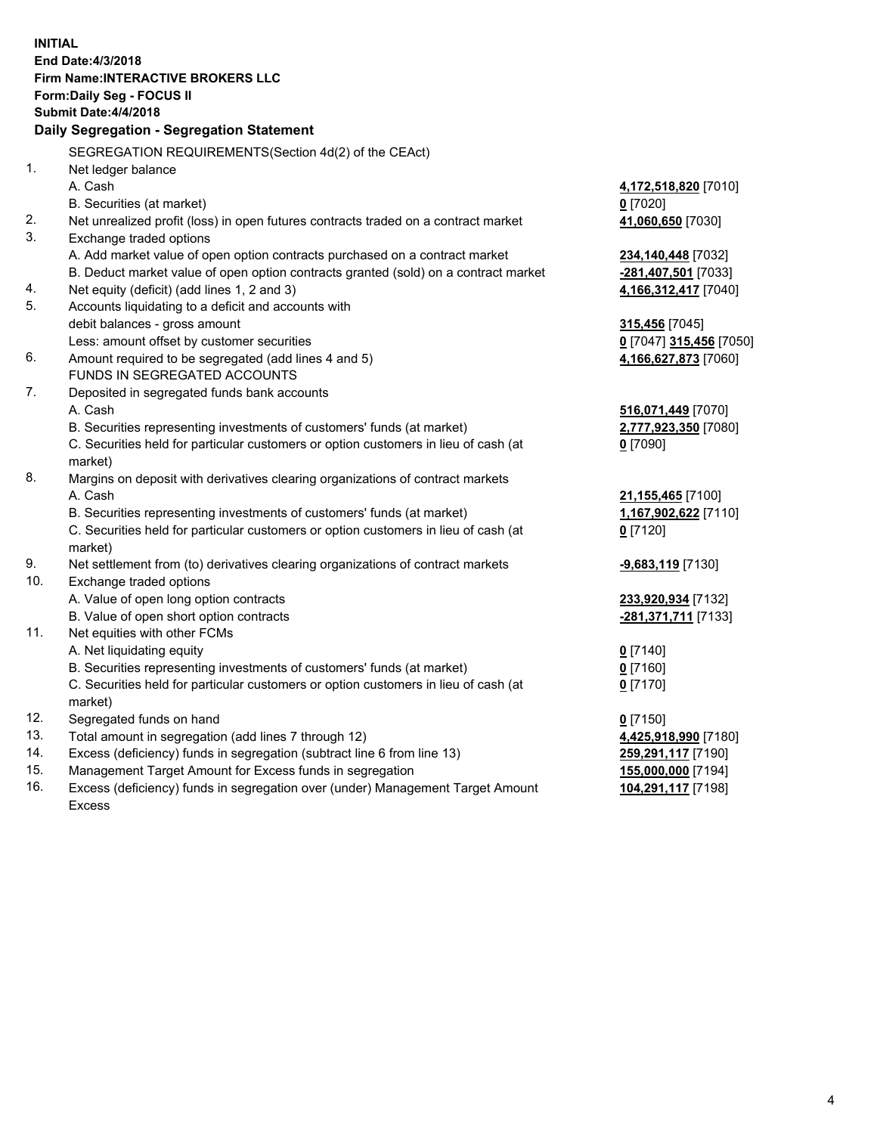**INITIAL End Date:4/3/2018 Firm Name:INTERACTIVE BROKERS LLC Form:Daily Seg - FOCUS II Submit Date:4/4/2018 Daily Segregation - Segregation Statement** SEGREGATION REQUIREMENTS(Section 4d(2) of the CEAct) 1. Net ledger balance A. Cash **4,172,518,820** [7010] B. Securities (at market) **0** [7020] 2. Net unrealized profit (loss) in open futures contracts traded on a contract market **41,060,650** [7030] 3. Exchange traded options A. Add market value of open option contracts purchased on a contract market **234,140,448** [7032] B. Deduct market value of open option contracts granted (sold) on a contract market **-281,407,501** [7033] 4. Net equity (deficit) (add lines 1, 2 and 3) **4,166,312,417** [7040] 5. Accounts liquidating to a deficit and accounts with debit balances - gross amount **315,456** [7045] Less: amount offset by customer securities **0** [7047] **315,456** [7050] 6. Amount required to be segregated (add lines 4 and 5) **4,166,627,873** [7060] FUNDS IN SEGREGATED ACCOUNTS 7. Deposited in segregated funds bank accounts A. Cash **516,071,449** [7070] B. Securities representing investments of customers' funds (at market) **2,777,923,350** [7080] C. Securities held for particular customers or option customers in lieu of cash (at market) **0** [7090] 8. Margins on deposit with derivatives clearing organizations of contract markets A. Cash **21,155,465** [7100] B. Securities representing investments of customers' funds (at market) **1,167,902,622** [7110] C. Securities held for particular customers or option customers in lieu of cash (at market) **0** [7120] 9. Net settlement from (to) derivatives clearing organizations of contract markets **-9,683,119** [7130] 10. Exchange traded options A. Value of open long option contracts **233,920,934** [7132] B. Value of open short option contracts **-281,371,711** [7133] 11. Net equities with other FCMs A. Net liquidating equity **0** [7140] B. Securities representing investments of customers' funds (at market) **0** [7160] C. Securities held for particular customers or option customers in lieu of cash (at market) **0** [7170] 12. Segregated funds on hand **0** [7150] 13. Total amount in segregation (add lines 7 through 12) **4,425,918,990** [7180] 14. Excess (deficiency) funds in segregation (subtract line 6 from line 13) **259,291,117** [7190] 15. Management Target Amount for Excess funds in segregation **155,000,000** [7194] 16. Excess (deficiency) funds in segregation over (under) Management Target Amount **104,291,117** [7198]

Excess